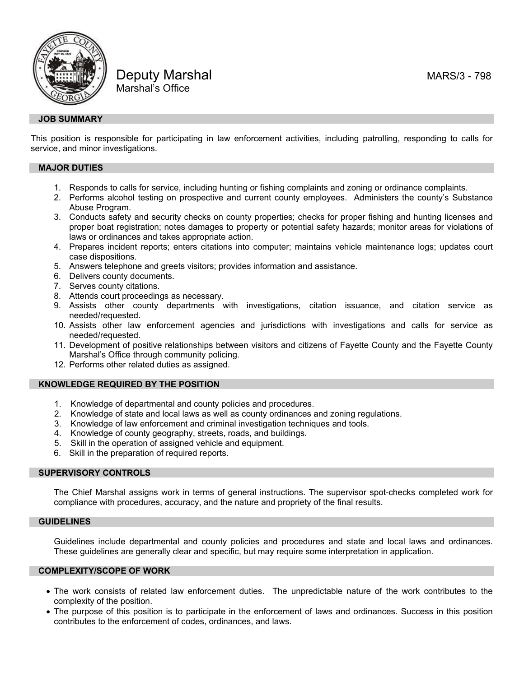



Deputy Marshal Manuscript Communication of the MARS/3 - 798 Marshal's Office

# **JOB SUMMARY**

This position is responsible for participating in law enforcement activities, including patrolling, responding to calls for service, and minor investigations.

## **MAJOR DUTIES**

- 1. Responds to calls for service, including hunting or fishing complaints and zoning or ordinance complaints.
- 2. Performs alcohol testing on prospective and current county employees. Administers the county's Substance Abuse Program.
- 3. Conducts safety and security checks on county properties; checks for proper fishing and hunting licenses and proper boat registration; notes damages to property or potential safety hazards; monitor areas for violations of laws or ordinances and takes appropriate action.
- 4. Prepares incident reports; enters citations into computer; maintains vehicle maintenance logs; updates court case dispositions.
- 5. Answers telephone and greets visitors; provides information and assistance.
- 6. Delivers county documents.
- 7. Serves county citations.
- 8. Attends court proceedings as necessary.
- 9. Assists other county departments with investigations, citation issuance, and citation service as needed/requested.
- 10. Assists other law enforcement agencies and jurisdictions with investigations and calls for service as needed/requested.
- 11. Development of positive relationships between visitors and citizens of Fayette County and the Fayette County Marshal's Office through community policing.
- 12. Performs other related duties as assigned.

#### **KNOWLEDGE REQUIRED BY THE POSITION**

- 1. Knowledge of departmental and county policies and procedures.
- 2. Knowledge of state and local laws as well as county ordinances and zoning regulations.
- 3. Knowledge of law enforcement and criminal investigation techniques and tools.
- 4. Knowledge of county geography, streets, roads, and buildings.
- 5. Skill in the operation of assigned vehicle and equipment.
- 6. Skill in the preparation of required reports.

## **SUPERVISORY CONTROLS**

The Chief Marshal assigns work in terms of general instructions. The supervisor spot-checks completed work for compliance with procedures, accuracy, and the nature and propriety of the final results.

### **GUIDELINES**

Guidelines include departmental and county policies and procedures and state and local laws and ordinances. These guidelines are generally clear and specific, but may require some interpretation in application.

## **COMPLEXITY/SCOPE OF WORK**

- The work consists of related law enforcement duties. The unpredictable nature of the work contributes to the complexity of the position.
- The purpose of this position is to participate in the enforcement of laws and ordinances. Success in this position contributes to the enforcement of codes, ordinances, and laws.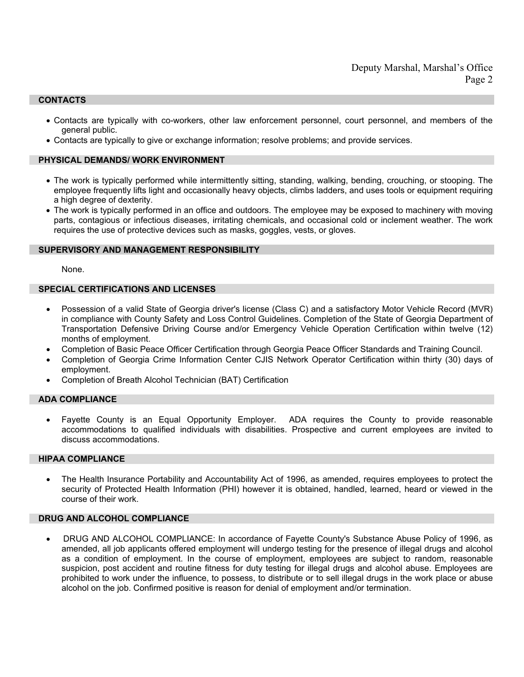## **CONTACTS**

- Contacts are typically with co-workers, other law enforcement personnel, court personnel, and members of the general public.
- Contacts are typically to give or exchange information; resolve problems; and provide services.

# **PHYSICAL DEMANDS/ WORK ENVIRONMENT**

- The work is typically performed while intermittently sitting, standing, walking, bending, crouching, or stooping. The employee frequently lifts light and occasionally heavy objects, climbs ladders, and uses tools or equipment requiring a high degree of dexterity.
- The work is typically performed in an office and outdoors. The employee may be exposed to machinery with moving parts, contagious or infectious diseases, irritating chemicals, and occasional cold or inclement weather. The work requires the use of protective devices such as masks, goggles, vests, or gloves.

### **SUPERVISORY AND MANAGEMENT RESPONSIBILITY**

None.

#### **SPECIAL CERTIFICATIONS AND LICENSES**

- Possession of a valid State of Georgia driver's license (Class C) and a satisfactory Motor Vehicle Record (MVR) in compliance with County Safety and Loss Control Guidelines. Completion of the State of Georgia Department of Transportation Defensive Driving Course and/or Emergency Vehicle Operation Certification within twelve (12) months of employment.
- Completion of Basic Peace Officer Certification through Georgia Peace Officer Standards and Training Council.
- Completion of Georgia Crime Information Center CJIS Network Operator Certification within thirty (30) days of employment.
- Completion of Breath Alcohol Technician (BAT) Certification

## **ADA COMPLIANCE**

• Fayette County is an Equal Opportunity Employer. ADA requires the County to provide reasonable accommodations to qualified individuals with disabilities. Prospective and current employees are invited to discuss accommodations.

## **HIPAA COMPLIANCE**

• The Health Insurance Portability and Accountability Act of 1996, as amended, requires employees to protect the security of Protected Health Information (PHI) however it is obtained, handled, learned, heard or viewed in the course of their work.

## **DRUG AND ALCOHOL COMPLIANCE**

• DRUG AND ALCOHOL COMPLIANCE: In accordance of Fayette County's Substance Abuse Policy of 1996, as amended, all job applicants offered employment will undergo testing for the presence of illegal drugs and alcohol as a condition of employment. In the course of employment, employees are subject to random, reasonable suspicion, post accident and routine fitness for duty testing for illegal drugs and alcohol abuse. Employees are prohibited to work under the influence, to possess, to distribute or to sell illegal drugs in the work place or abuse alcohol on the job. Confirmed positive is reason for denial of employment and/or termination.